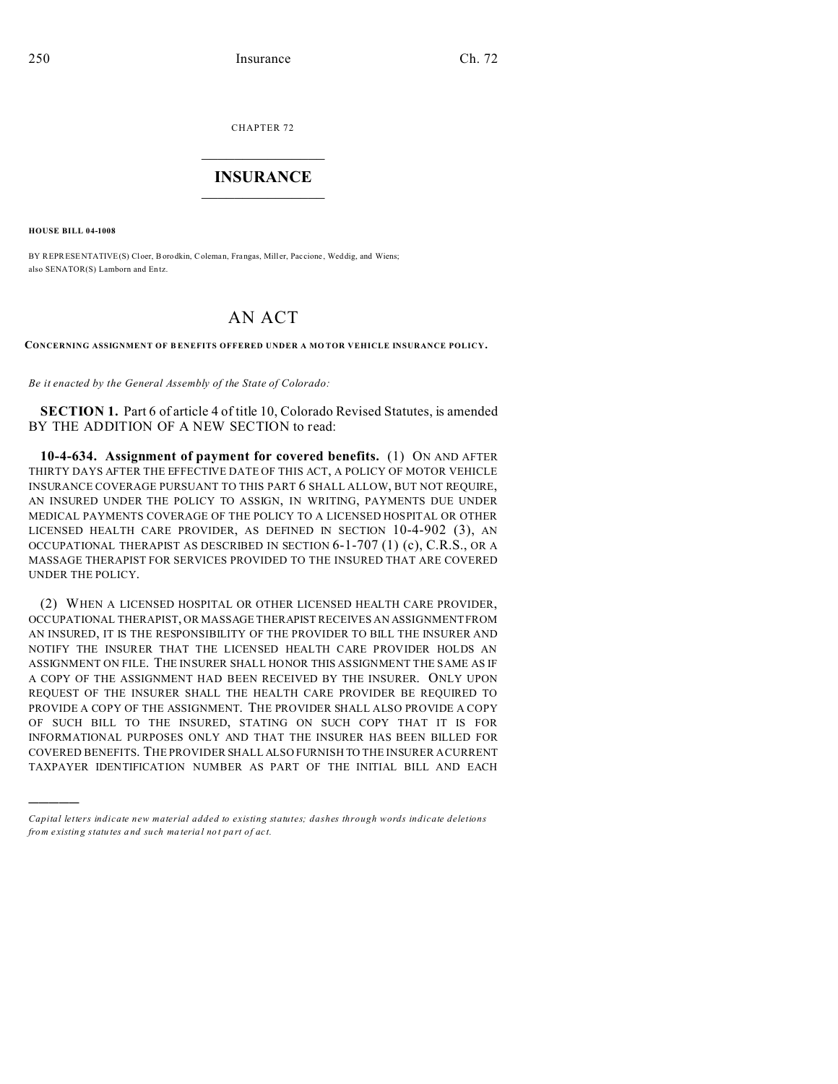CHAPTER 72  $\overline{\phantom{a}}$  , where  $\overline{\phantom{a}}$ 

## **INSURANCE**  $\_$   $\_$   $\_$   $\_$   $\_$   $\_$   $\_$   $\_$

**HOUSE BILL 04-1008**

)))))

BY REPRESENTATIVE(S) Cloer, Borodkin, Coleman, Frangas, Miller, Paccione, Weddig, and Wiens; also SENATOR(S) Lamborn and En tz.

## AN ACT

**CONCERNING ASSIGNMENT OF B ENEFITS OFFERED UNDER A MO TOR VEHICLE INSURANCE POLICY.**

*Be it enacted by the General Assembly of the State of Colorado:*

**SECTION 1.** Part 6 of article 4 of title 10, Colorado Revised Statutes, is amended BY THE ADDITION OF A NEW SECTION to read:

**10-4-634. Assignment of payment for covered benefits.** (1) ON AND AFTER THIRTY DAYS AFTER THE EFFECTIVE DATE OF THIS ACT, A POLICY OF MOTOR VEHICLE INSURANCE COVERAGE PURSUANT TO THIS PART 6 SHALL ALLOW, BUT NOT REQUIRE, AN INSURED UNDER THE POLICY TO ASSIGN, IN WRITING, PAYMENTS DUE UNDER MEDICAL PAYMENTS COVERAGE OF THE POLICY TO A LICENSED HOSPITAL OR OTHER LICENSED HEALTH CARE PROVIDER, AS DEFINED IN SECTION 10-4-902 (3), AN OCCUPATIONAL THERAPIST AS DESCRIBED IN SECTION 6-1-707 (1) (c), C.R.S., OR A MASSAGE THERAPIST FOR SERVICES PROVIDED TO THE INSURED THAT ARE COVERED UNDER THE POLICY.

(2) WHEN A LICENSED HOSPITAL OR OTHER LICENSED HEALTH CARE PROVIDER, OCCUPATIONAL THERAPIST, OR MASSAGE THERAPIST RECEIVES AN ASSIGNMENT FROM AN INSURED, IT IS THE RESPONSIBILITY OF THE PROVIDER TO BILL THE INSURER AND NOTIFY THE INSURER THAT THE LICENSED HEALTH CARE PROVIDER HOLDS AN ASSIGNMENT ON FILE. THE INSURER SHALL HONOR THIS ASSIGNMENT THE SAME AS IF A COPY OF THE ASSIGNMENT HAD BEEN RECEIVED BY THE INSURER. ONLY UPON REQUEST OF THE INSURER SHALL THE HEALTH CARE PROVIDER BE REQUIRED TO PROVIDE A COPY OF THE ASSIGNMENT. THE PROVIDER SHALL ALSO PROVIDE A COPY OF SUCH BILL TO THE INSURED, STATING ON SUCH COPY THAT IT IS FOR INFORMATIONAL PURPOSES ONLY AND THAT THE INSURER HAS BEEN BILLED FOR COVERED BENEFITS. THE PROVIDER SHALL ALSO FURNISH TO THE INSURER A CURRENT TAXPAYER IDENTIFICATION NUMBER AS PART OF THE INITIAL BILL AND EACH

*Capital letters indicate new material added to existing statutes; dashes through words indicate deletions from e xistin g statu tes a nd such ma teria l no t pa rt of ac t.*